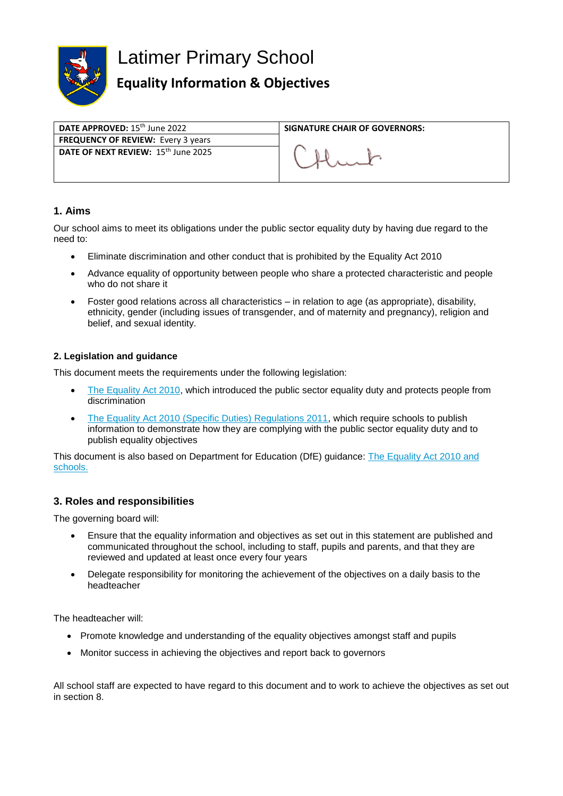

# Latimer Primary School

# **Equality Information & Objectives**

**FREQUENCY OF REVIEW:** Every 3 years **DATE OF NEXT REVIEW:** 15th June 2025

**DATE APPROVED:** 15<sup>th</sup> June 2022 **SIGNATURE CHAIR OF GOVERNORS:** 

#### **1. Aims**

Our school aims to meet its obligations under the public sector equality duty by having due regard to the need to:

- Eliminate discrimination and other conduct that is prohibited by the Equality Act 2010
- Advance equality of opportunity between people who share a protected characteristic and people who do not share it
- Foster good relations across all characteristics in relation to age (as appropriate), disability, ethnicity, gender (including issues of transgender, and of maternity and pregnancy), religion and belief, and sexual identity.

#### **2. Legislation and guidance**

This document meets the requirements under the following legislation:

- [The Equality Act 2010,](http://www.legislation.gov.uk/ukpga/2010/15/contents) which introduced the public sector equality duty and protects people from discrimination
- [The Equality Act 2010 \(Specific Duties\) Regulations 2011,](http://www.legislation.gov.uk/uksi/2011/2260/contents/made) which require schools to publish information to demonstrate how they are complying with the public sector equality duty and to publish equality objectives

This document is also based on Department for Education (DfE) guidance: [The Equality Act 2010 and](https://www.gov.uk/government/uploads/system/uploads/attachment_data/file/315587/Equality_Act_Advice_Final.pdf)  [schools.](https://www.gov.uk/government/uploads/system/uploads/attachment_data/file/315587/Equality_Act_Advice_Final.pdf) 

#### **3. Roles and responsibilities**

The governing board will:

- Ensure that the equality information and objectives as set out in this statement are published and communicated throughout the school, including to staff, pupils and parents, and that they are reviewed and updated at least once every four years
- Delegate responsibility for monitoring the achievement of the objectives on a daily basis to the headteacher

The headteacher will:

- Promote knowledge and understanding of the equality objectives amongst staff and pupils
- Monitor success in achieving the objectives and report back to governors

All school staff are expected to have regard to this document and to work to achieve the objectives as set out in section 8.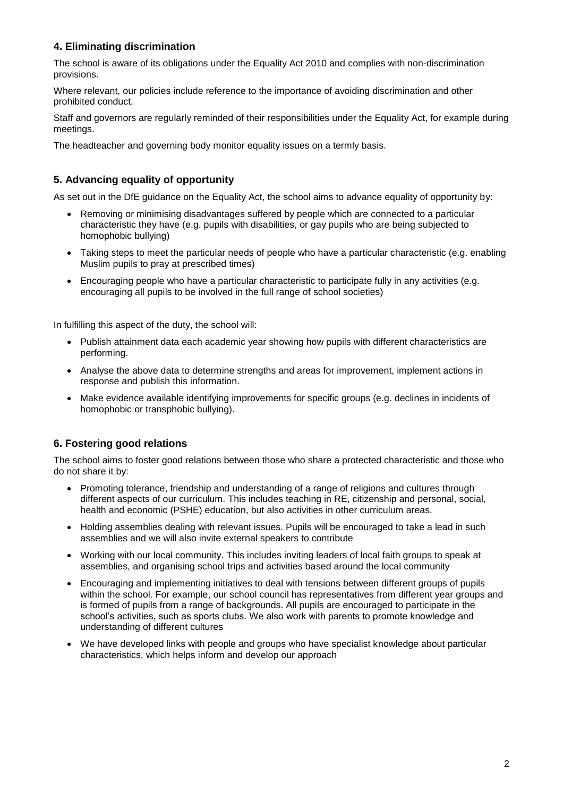## **4. Eliminating discrimination**

The school is aware of its obligations under the Equality Act 2010 and complies with non-discrimination provisions.

Where relevant, our policies include reference to the importance of avoiding discrimination and other prohibited conduct.

Staff and governors are regularly reminded of their responsibilities under the Equality Act, for example during meetings.

The headteacher and governing body monitor equality issues on a termly basis.

#### **5. Advancing equality of opportunity**

As set out in the DfE guidance on the Equality Act, the school aims to advance equality of opportunity by:

- Removing or minimising disadvantages suffered by people which are connected to a particular characteristic they have (e.g. pupils with disabilities, or gay pupils who are being subjected to homophobic bullying)
- Taking steps to meet the particular needs of people who have a particular characteristic (e.g. enabling Muslim pupils to pray at prescribed times)
- Encouraging people who have a particular characteristic to participate fully in any activities (e.g. encouraging all pupils to be involved in the full range of school societies)

In fulfilling this aspect of the duty, the school will:

- Publish attainment data each academic year showing how pupils with different characteristics are performing.
- Analyse the above data to determine strengths and areas for improvement, implement actions in response and publish this information.
- Make evidence available identifying improvements for specific groups (e.g. declines in incidents of homophobic or transphobic bullying).

## **6. Fostering good relations**

The school aims to foster good relations between those who share a protected characteristic and those who do not share it by:

- Promoting tolerance, friendship and understanding of a range of religions and cultures through different aspects of our curriculum. This includes teaching in RE, citizenship and personal, social, health and economic (PSHE) education, but also activities in other curriculum areas.
- Holding assemblies dealing with relevant issues. Pupils will be encouraged to take a lead in such assemblies and we will also invite external speakers to contribute
- Working with our local community. This includes inviting leaders of local faith groups to speak at assemblies, and organising school trips and activities based around the local community
- Encouraging and implementing initiatives to deal with tensions between different groups of pupils within the school. For example, our school council has representatives from different year groups and is formed of pupils from a range of backgrounds. All pupils are encouraged to participate in the school's activities, such as sports clubs. We also work with parents to promote knowledge and understanding of different cultures
- We have developed links with people and groups who have specialist knowledge about particular characteristics, which helps inform and develop our approach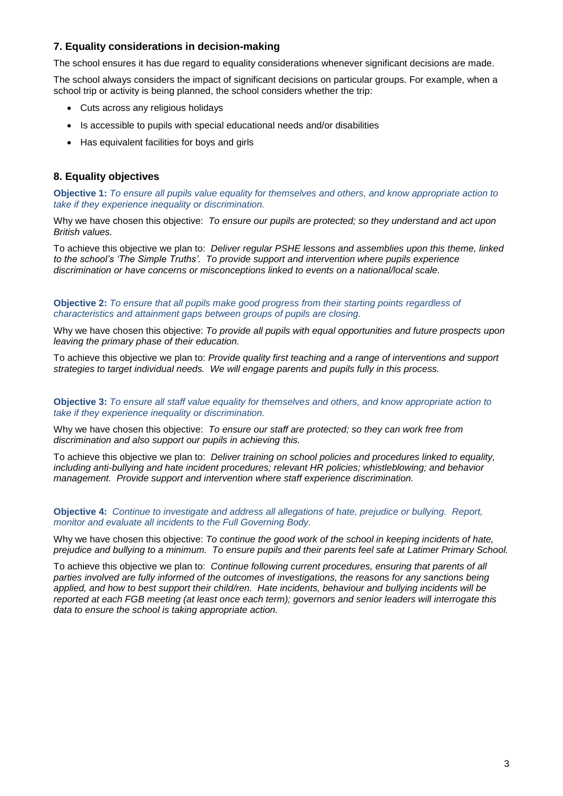#### **7. Equality considerations in decision-making**

The school ensures it has due regard to equality considerations whenever significant decisions are made.

The school always considers the impact of significant decisions on particular groups. For example, when a school trip or activity is being planned, the school considers whether the trip:

- Cuts across any religious holidays
- Is accessible to pupils with special educational needs and/or disabilities
- Has equivalent facilities for boys and girls

#### **8. Equality objectives**

**Objective 1:** *To ensure all pupils value equality for themselves and others, and know appropriate action to take if they experience inequality or discrimination.*

Why we have chosen this objective: *To ensure our pupils are protected; so they understand and act upon British values.* 

To achieve this objective we plan to: *Deliver regular PSHE lessons and assemblies upon this theme, linked to the school's 'The Simple Truths'. To provide support and intervention where pupils experience discrimination or have concerns or misconceptions linked to events on a national/local scale.*

#### **Objective 2:** *To ensure that all pupils make good progress from their starting points regardless of characteristics and attainment gaps between groups of pupils are closing.*

Why we have chosen this objective: *To provide all pupils with equal opportunities and future prospects upon leaving the primary phase of their education.*

To achieve this objective we plan to: *Provide quality first teaching and a range of interventions and support strategies to target individual needs. We will engage parents and pupils fully in this process.*

**Objective 3:** *To ensure all staff value equality for themselves and others, and know appropriate action to take if they experience inequality or discrimination.*

Why we have chosen this objective: *To ensure our staff are protected; so they can work free from discrimination and also support our pupils in achieving this.*

To achieve this objective we plan to: *Deliver training on school policies and procedures linked to equality, including anti-bullying and hate incident procedures; relevant HR policies; whistleblowing; and behavior management. Provide support and intervention where staff experience discrimination.*

#### **Objective 4:** *Continue to investigate and address all allegations of hate, prejudice or bullying. Report, monitor and evaluate all incidents to the Full Governing Body.*

Why we have chosen this objective: *To continue the good work of the school in keeping incidents of hate, prejudice and bullying to a minimum. To ensure pupils and their parents feel safe at Latimer Primary School.*

To achieve this objective we plan to: *Continue following current procedures, ensuring that parents of all parties involved are fully informed of the outcomes of investigations, the reasons for any sanctions being applied, and how to best support their child/ren. Hate incidents, behaviour and bullying incidents will be reported at each FGB meeting (at least once each term); governors and senior leaders will interrogate this data to ensure the school is taking appropriate action.*